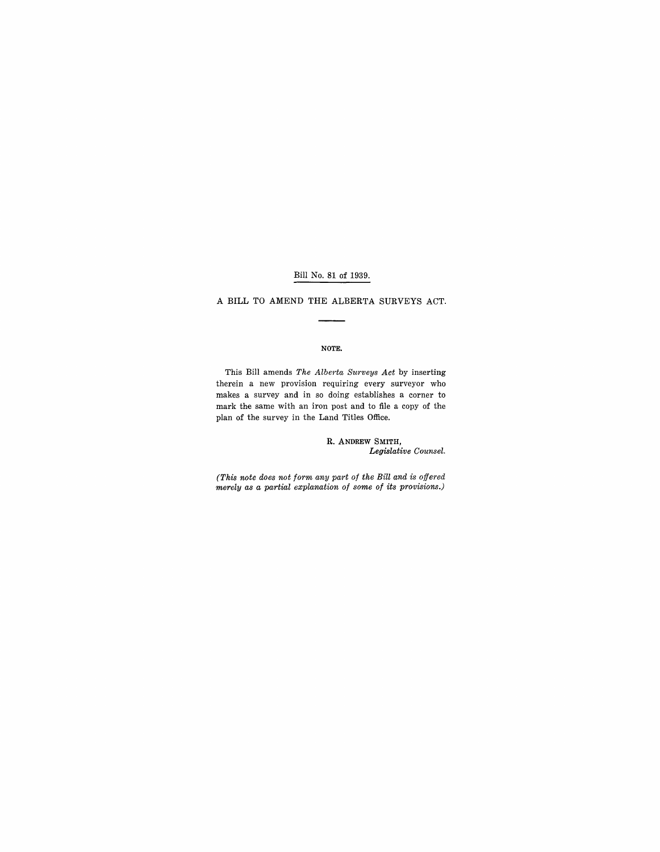### Bill No. 81 of 1939.

A **BILL** TO AMEND THE ALBERTA SURVEYS ACT.

#### NOTE.

This Bill amends *The Alberta Surveys Act* by inserting therein a new provision requiring every surveyor who makes a survey and in so doing establishes a corner to mark the same with an iron post and to file a copy of the plan of the survey in the Land Titles Office.

> R. ANDREW SMITH, *Legislative Counsel.*

*(This note does not form any part of the Bill and is offered merely as a partial explanation of some of its provisions.)*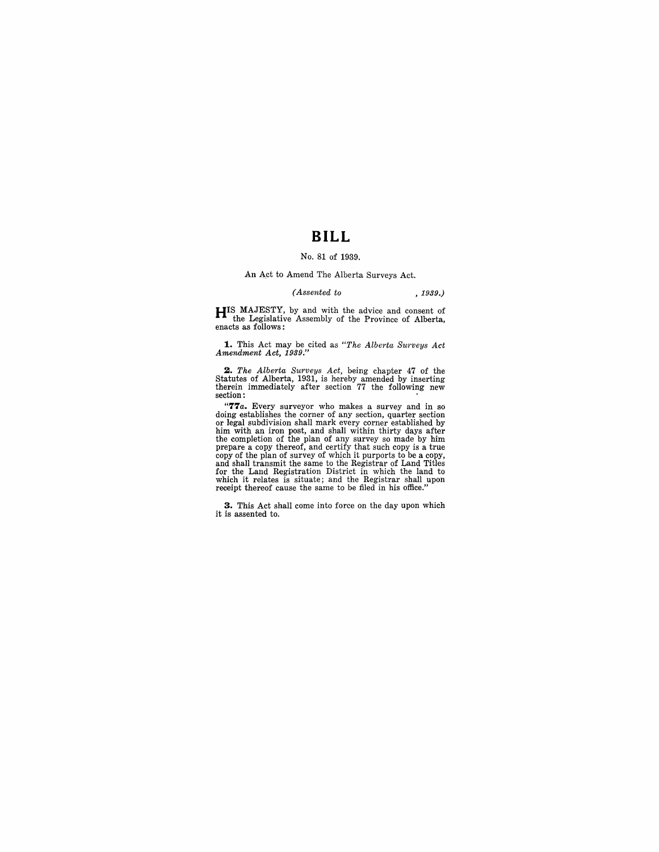## **BILL**

#### No. 81 of 1939.

An Act to Amend The Alberta Surveys Act.

#### *(Assented to* , 1939.)

**HIS** MAJESTY, by and with the advice and consent of the Legislative Assembly of the Province of Alberta, enacts as follows:

**1.** This Act may be cited as *"The Alberta Surveys Act Amendment Act, 1939."* 

2. The Alberta Surveys Act, being chapter 47 of the Statutes of Alberta, 1931, is hereby amended by inserting therein immediately after section 77 the following new section:

**"77** *a.* Every surveyor who makes a survey and in so doing establishes the corner of any section, quarter section or legal subdivision shall mark every corner established by him with an iron post, and shall within thirty days after<br>the completion of the plan of any survey so made by him<br>prepare a copy thereof, and certify that such copy is a true<br>copy of the plan of survey of which it purports

**3.** This Act shall come into force on the day upon which it is assented to.